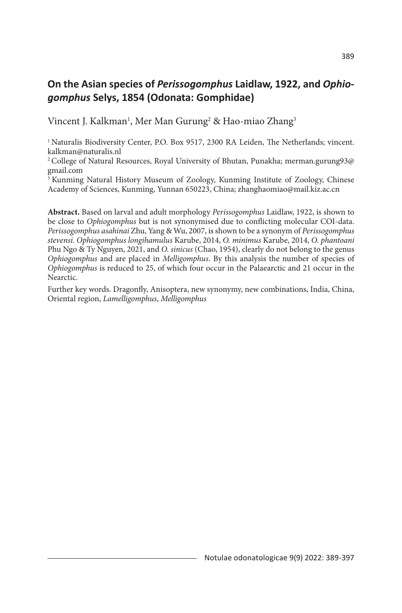## **On the Asian species of** *Perissogomphus* **Laidlaw, 1922, and** *Ophiogomphus* **Selys, 1854 (Odonata: Gomphidae)**

Vincent J. Kalkman<sup>1</sup>, Mer Man Gurung<sup>2</sup> & Hao-miao Zhang<sup>3</sup>

<sup>1</sup> Naturalis Biodiversity Center, P.O. Box 9517, 2300 RA Leiden, The Netherlands; vincent. kalkman@naturalis.nl

2 College of Natural Resources, Royal University of Bhutan, Punakha; merman.gurung93@ gmail.com

3 Kunming Natural History Museum of Zoology, Kunming Institute of Zoology, Chinese Academy of Sciences, Kunming, Yunnan 650223, China; zhanghaomiao@mail.kiz.ac.cn

**Abstract.** Based on larval and adult morphology *Perissogomphus* Laidlaw, 1922, is shown to be close to *Ophiogomphus* but is not synonymised due to conflicting molecular COI-data. *Perissogomphus asahinai* Zhu, Yang & Wu, 2007, is shown to be a synonym of *Perissogomphus stevensi*. *Ophiogomphus longihamulus* Karube, 2014, *O. minimus* Karube, 2014, *O. phantoani* Phu Ngo & Ty Nguyen, 2021, and *O. sinicus* (Chao, 1954), clearly do not belong to the genus *Ophiogomphus* and are placed in *Melligomphus*. By this analysis the number of species of *Ophiogomphus* is reduced to 25, of which four occur in the Palaearctic and 21 occur in the Nearctic.

Further key words. Dragonfly, Anisoptera, new synonymy, new combinations, India, China, Oriental region, *Lamelligomphus*, *Melligomphus*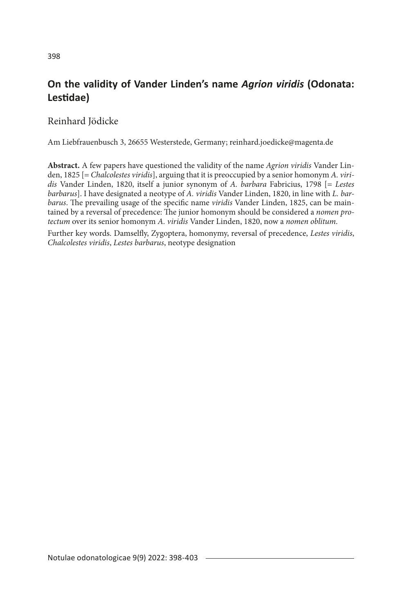#### **On the validity of Vander Linden's name** *Agrion viridis* **(Odonata: Lestidae)**

Reinhard Jödicke

Am Liebfrauenbusch 3, 26655 Westerstede, Germany; reinhard.joedicke@magenta.de

**Abstract.** A few papers have questioned the validity of the name *Agrion viridis* Vander Linden, 1825 [= *Chalcolestes viridis*], arguing that it is preoccupied by a senior homonym *A. viridis* Vander Linden, 1820, itself a junior synonym of *A. barbara* Fabricius, 1798 [= *Lestes barbarus*]. I have designated a neotype of *A. viridis* Vander Linden, 1820, in line with *L. barbarus*. The prevailing usage of the specific name *viridis* Vander Linden, 1825, can be maintained by a reversal of precedence: The junior homonym should be considered a *nomen protectum* over its senior homonym *A. viridis* Vander Linden, 1820, now a *nomen oblitum*.

Further key words. Damselfly, Zygoptera, homonymy, reversal of precedence, *Lestes viridis*, *Chalcolestes viridis*, *Lestes barbarus*, neotype designation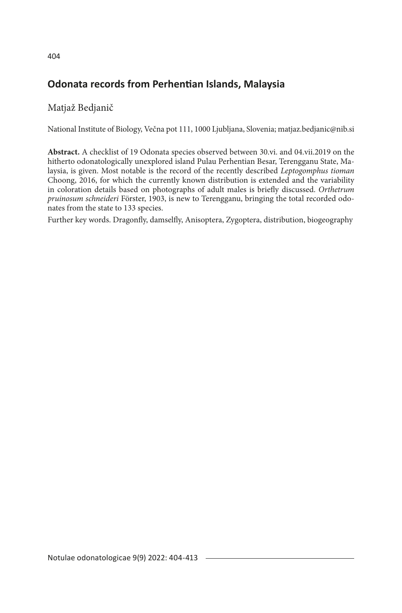## **Odonata records from Perhentian Islands, Malaysia**

#### Matjaž Bedjanič

National Institute of Biology, Večna pot 111, 1000 Ljubljana, Slovenia; matjaz.bedjanic@nib.si

**Abstract.** A checklist of 19 Odonata species observed between 30.vi. and 04.vii.2019 on the hitherto odonatologically unexplored island Pulau Perhentian Besar, Terengganu State, Malaysia, is given. Most notable is the record of the recently described *Leptogomphus tioman* Choong, 2016, for which the currently known distribution is extended and the variability in coloration details based on photographs of adult males is briefly discussed. *Orthetrum pruinosum schneideri* Förster, 1903, is new to Terengganu, bringing the total recorded odonates from the state to 133 species.

Further key words. Dragonfly, damselfly, Anisoptera, Zygoptera, distribution, biogeography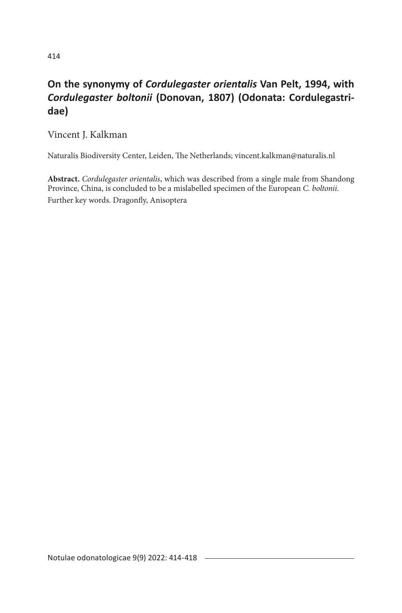# **On the synonymy of** *Cordulegaster orientalis* **Van Pelt, 1994, with** *Cordulegaster boltonii* **(Donovan, 1807) (Odonata: Cordulegastridae)**

Vincent J. Kalkman

Naturalis Biodiversity Center, Leiden, The Netherlands; vincent.kalkman@naturalis.nl

**Abstract.** *Cordulegaster orientalis*, which was described from a single male from Shandong Province, China, is concluded to be a mislabelled specimen of the European *C. boltonii*. Further key words. Dragonfly, Anisoptera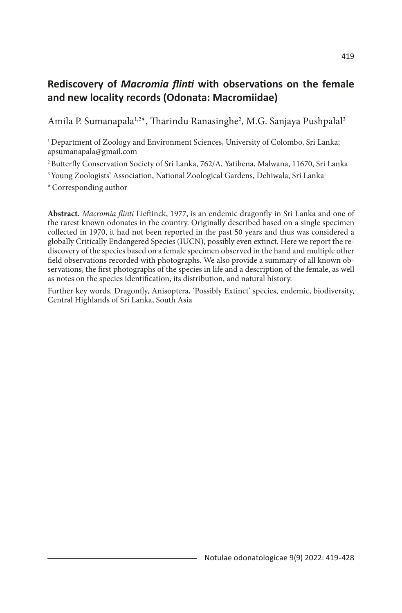## **Rediscovery of** *Macromia flinti* **with observations on the female and new locality records (Odonata: Macromiidae)**

Amila P. Sumanapala½\*, Tharindu Ranasinghe², M.G. Sanjaya Pushpalal3

<sup>1</sup> Department of Zoology and Environment Sciences, University of Colombo, Sri Lanka; apsumanapala@gmail.com

2 Butterfly Conservation Society of Sri Lanka, 762/A, Yatihena, Malwana, 11670, Sri Lanka

<sup>3</sup> Young Zoologists' Association, National Zoological Gardens, Dehiwala, Sri Lanka

\*Corresponding author

**Abstract.** *Macromia flinti* Lieftinck, 1977, is an endemic dragonfly in Sri Lanka and one of the rarest known odonates in the country. Originally described based on a single specimen collected in 1970, it had not been reported in the past 50 years and thus was considered a globally Critically Endangered Species (IUCN), possibly even extinct. Here we report the rediscovery of the species based on a female specimen observed in the hand and multiple other field observations recorded with photographs. We also provide a summary of all known observations, the first photographs of the species in life and a description of the female, as well as notes on the species identification, its distribution, and natural history.

Further key words. Dragonfly, Anisoptera, 'Possibly Extinct' species, endemic, biodiversity, Central Highlands of Sri Lanka, South Asia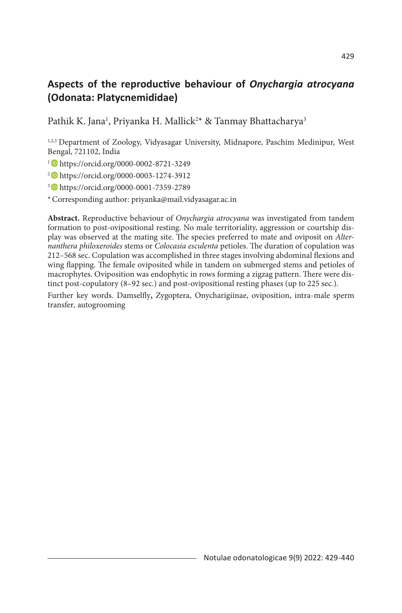## **Aspects of the reproductive behaviour of** *Onychargia atrocyana*  **(Odonata: Platycnemididae)**

Pathik K. Jana<sup>1</sup>, Priyanka H. Mallick<sup>2\*</sup> & Tanmay Bhattacharya<sup>3</sup>

1,2,3 Department of Zoology, Vidyasagar University, Midnapore, Paschim Medinipur, West Bengal, 721102, India

1 https://orcid.org/0000-0002-8721-3249

2 https://orcid.org/0000-0003-1274-3912

3 https://orcid.org/0000-0001-7359-2789

\*Corresponding author: priyanka@mail.vidyasagar.ac.in

**Abstract.** Reproductive behaviour of *Onychargia atrocyana* was investigated from tandem formation to post-ovipositional resting. No male territoriality, aggression or courtship display was observed at the mating site. The species preferred to mate and oviposit on *Alternanthera philoxeroides* stems or *Colocasia esculenta* petioles. The duration of copulation was 212–568 sec. Copulation was accomplished in three stages involving abdominal flexions and wing flapping. The female oviposited while in tandem on submerged stems and petioles of macrophytes. Oviposition was endophytic in rows forming a zigzag pattern. There were distinct post-copulatory (8–92 sec.) and post-ovipositional resting phases (up to 225 sec.).

Further key words. Damselfly**,** Zygoptera, Onycharigiinae, oviposition, intra-male sperm transfer*,* autogrooming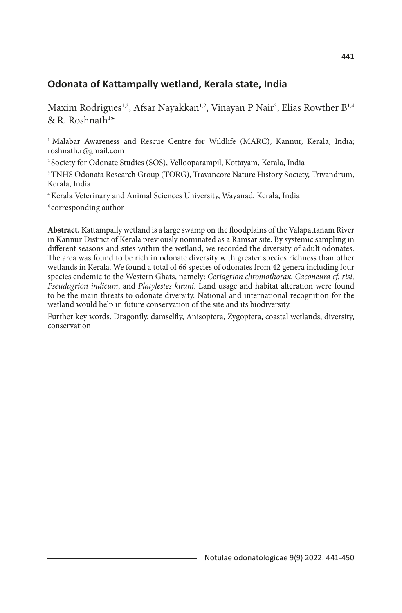#### **Odonata of Kattampally wetland, Kerala state, India**

Maxim Rodrigues½, Afsar Nayakkan½, Vinayan P Nair¾, Elias Rowther B½ & R. Roshnath<sup>1\*</sup>

<sup>1</sup> Malabar Awareness and Rescue Centre for Wildlife (MARC), Kannur, Kerala, India; roshnath.r@gmail.com

2 Society for Odonate Studies (SOS), Vellooparampil, Kottayam, Kerala, India

<sup>3</sup> TNHS Odonata Research Group (TORG), Travancore Nature History Society, Trivandrum, Kerala, India

4 Kerala Veterinary and Animal Sciences University, Wayanad, Kerala, India

\*corresponding author

**Abstract.** Kattampally wetland is a large swamp on the floodplains of the Valapattanam River in Kannur District of Kerala previously nominated as a Ramsar site. By systemic sampling in different seasons and sites within the wetland, we recorded the diversity of adult odonates. The area was found to be rich in odonate diversity with greater species richness than other wetlands in Kerala. We found a total of 66 species of odonates from 42 genera including four species endemic to the Western Ghats, namely: *Ceriagrion chromothorax*, *Caconeura cf. risi, Pseudagrion indicum*, and *Platylestes kirani*. Land usage and habitat alteration were found to be the main threats to odonate diversity. National and international recognition for the wetland would help in future conservation of the site and its biodiversity.

Further key words. Dragonfly, damselfly, Anisoptera, Zygoptera, coastal wetlands, diversity, conservation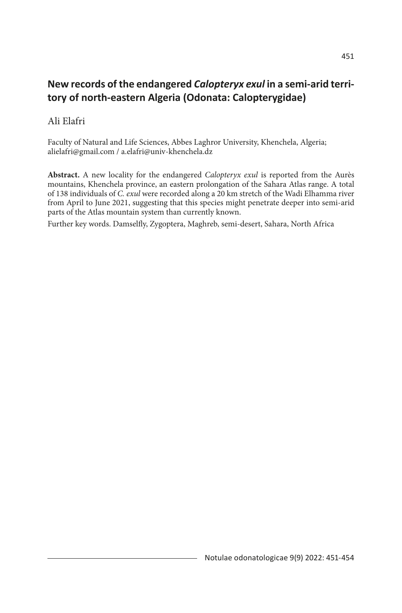## **New records of the endangered** *Calopteryx exul* **in a semi-arid territory of north-eastern Algeria (Odonata: Calopterygidae)**

#### Ali Elafri

Faculty of Natural and Life Sciences, Abbes Laghror University, Khenchela, Algeria; alielafri@gmail.com / a.elafri@univ-khenchela.dz

**Abstract.** A new locality for the endangered *Calopteryx exul* is reported from the Aurès mountains, Khenchela province, an eastern prolongation of the Sahara Atlas range. A total of 138 individuals of *C. exul* were recorded along a 20 km stretch of the Wadi Elhamma river from April to June 2021, suggesting that this species might penetrate deeper into semi-arid parts of the Atlas mountain system than currently known.

Further key words. Damselfly, Zygoptera, Maghreb, semi-desert, Sahara, North Africa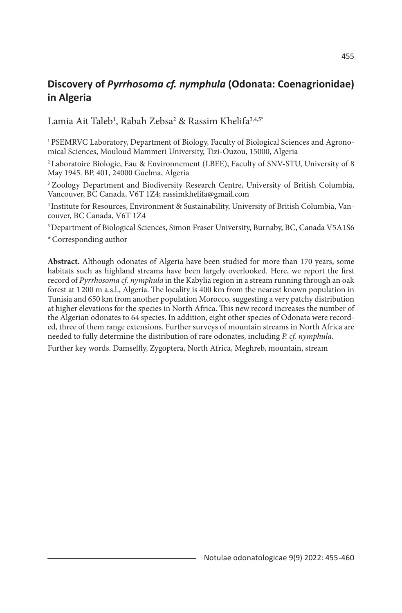# **Discovery of** *Pyrrhosoma cf. nymphula* **(Odonata: Coenagrionidae) in Algeria**

Lamia Ait Taleb<sup>1</sup>, Rabah Zebsa<sup>2</sup> & Rassim Khelifa<sup>3,4,5\*</sup>

1 PSEMRVC Laboratory, Department of Biology, Faculty of Biological Sciences and Agronomical Sciences, Mouloud Mammeri University, Tizi-Ouzou, 15000, Algeria

2 Laboratoire Biologie, Eau & Environnement (LBEE), Faculty of SNV-STU, University of 8 May 1945. BP. 401, 24000 Guelma, Algeria

<sup>3</sup> Zoology Department and Biodiversity Research Centre, University of British Columbia, Vancouver, BC Canada, V6T 1Z4; rassimkhelifa@gmail.com

4 Institute for Resources, Environment & Sustainability, University of British Columbia, Vancouver, BC Canada, V6T 1Z4

5 Department of Biological Sciences, Simon Fraser University, Burnaby, BC, Canada V5A1S6

\*Corresponding author

**Abstract.** Although odonates of Algeria have been studied for more than 170 years, some habitats such as highland streams have been largely overlooked. Here, we report the first record of *Pyrrhosoma cf. nymphula* in the Kabylia region in a stream running through an oak forest at 1 200 m a.s.l., Algeria. The locality is 400 km from the nearest known population in Tunisia and 650 km from another population Morocco, suggesting a very patchy distribution at higher elevations for the species in North Africa. This new record increases the number of the Algerian odonates to 64 species. In addition, eight other species of Odonata were recorded, three of them range extensions. Further surveys of mountain streams in North Africa are needed to fully determine the distribution of rare odonates, including *P. cf. nymphula*.

Further key words. Damselfly, Zygoptera, North Africa, Meghreb, mountain, stream